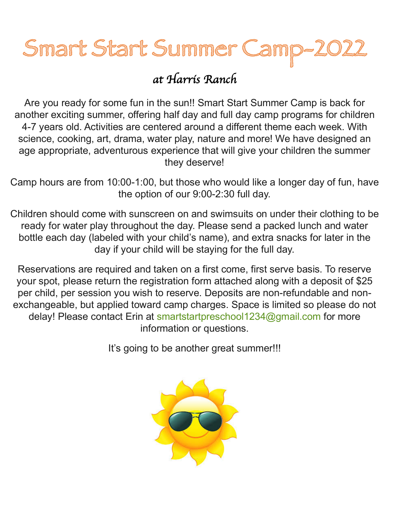# Smart Start Summer Camp

## *at Harris Ranch*

Are you ready for some fun in the sun!! Smart Start Summer Camp is back for another exciting summer, offering half day and full day camp programs for children 4-7 years old. Activities are centered around a different theme each week. With science, cooking, art, drama, water play, nature and more! We have designed an age appropriate, adventurous experience that will give your children the summer they deserve!

Camp hours are from 10:00-1:00, but those who would like a longer day of fun, have the option of our 9:00-2:30 full day.

Children should come with sunscreen on and swimsuits on under their clothing to be ready for water play throughout the day. Please send a packed lunch and water bottle each day (labeled with your child's name), and extra snacks for later in the day if your child will be staying for the full day.

Reservations are required and taken on a first come, first serve basis. To reserve your spot, please return the registration form attached along with a deposit of \$25 per child, per session you wish to reserve. Deposits are non-refundable and nonexchangeable, but applied toward camp charges. Space is limited so please do not delay! Please contact Erin at smartstartpreschool1234@gmail.com for more information or questions.

It's going to be another great summer!!!

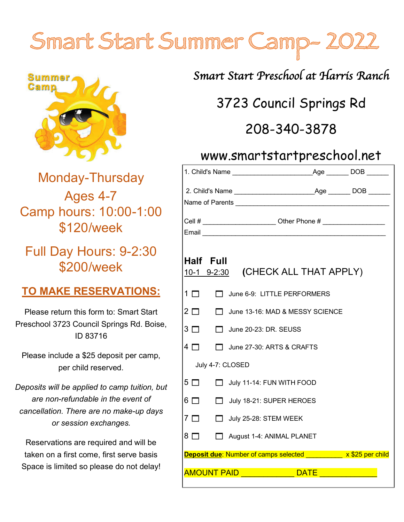## Smart Start Summer Camp-



## Monday-Thursday Ages 4-7 Camp hours: 10:00-1:00 \$120/week

Full Day Hours: 9-2:30 \$200/week

### **TO MAKE RESERVATIONS:**

Please return this form to: Smart Start Preschool 3723 Council Springs Rd. Boise, ID 83716

Please include a \$25 deposit per camp, per child reserved.

*Deposits will be applied to camp tuition, but are non-refundable in the event of cancellation. There are no make-up days or session exchanges.*

Reservations are required and will be taken on a first come, first serve basis Space is limited so please do not delay! *Smart Start Preschool at Harris Ranch*

## 3723 Council Springs Rd

## 208-340-3878

### www.smartstartpreschool.net

| $\textsf{Age} \_\_\_\_\$ DOB $\_\_\_\_\_\_\_\$                      |
|---------------------------------------------------------------------|
|                                                                     |
|                                                                     |
| Cell # _________________________ Other Phone # ____________________ |
|                                                                     |
| Half Full<br>10-1 9-2:30 (CHECK ALL THAT APPLY)                     |
| $1\Box$<br>June 6-9: LITTLE PERFORMERS                              |
| $2 \square$<br>June 13-16: MAD & MESSY SCIENCE<br>m.                |
| $3\Box$<br>$\Box$ June 20-23: DR. SEUSS                             |
| $4\Box$<br>June 27-30: ARTS & CRAFTS                                |
| July 4-7: CLOSED                                                    |
| $5\Box$<br>$\Box$ July 11-14: FUN WITH FOOD                         |
| $6\Box$<br>July 18-21: SUPER HEROES                                 |
| $7\Box$<br>$\Box$ July 25-28: STEM WEEK                             |
| 8 □<br>August 1-4: ANIMAL PLANET                                    |
| <b>Deposit due:</b> Number of camps selected x \$25 per child       |
| <b>AMOUNT PAID</b><br><b>DATE</b>                                   |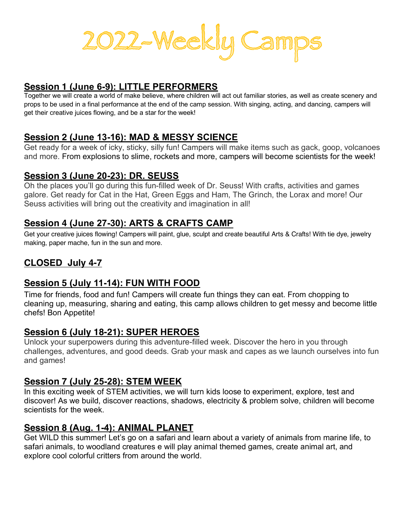

#### **Session 1 (June 6-9): LITTLE PERFORMERS**

Together we will create a world of make believe, where children will act out familiar stories, as well as create scenery and props to be used in a final performance at the end of the camp session. With singing, acting, and dancing, campers will get their creative juices flowing, and be a star for the week!

#### **Session 2 (June 13-16): MAD & MESSY SCIENCE**

Get ready for a week of icky, sticky, silly fun! Campers will make items such as gack, goop, volcanoes and more. From explosions to slime, rockets and more, campers will become scientists for the week!

#### **Session 3 (June 20-23): DR. SEUSS**

Oh the places you'll go during this fun-filled week of Dr. Seuss! With crafts, activities and games galore. Get ready for Cat in the Hat, Green Eggs and Ham, The Grinch, the Lorax and more! Our Seuss activities will bring out the creativity and imagination in all!

#### **Session 4 (June 27-30): ARTS & CRAFTS CAMP**

Get your creative juices flowing! Campers will paint, glue, sculpt and create beautiful Arts & Crafts! With tie dye, jewelry making, paper mache, fun in the sun and more.

#### **CLOSED July 4-7**

#### **Session 5 (July 11-14): FUN WITH FOOD**

Time for friends, food and fun! Campers will create fun things they can eat. From chopping to cleaning up, measuring, sharing and eating, this camp allows children to get messy and become little chefs! Bon Appetite!

#### **Session 6 (July 18-21): SUPER HEROES**

Unlock your superpowers during this adventure-filled week. Discover the hero in you through challenges, adventures, and good deeds. Grab your mask and capes as we launch ourselves into fun and games!

#### **Session 7 (July 25-28): STEM WEEK**

In this exciting week of STEM activities, we will turn kids loose to experiment, explore, test and discover! As we build, discover reactions, shadows, electricity & problem solve, children will become scientists for the week.

#### **Session 8 (Aug. 1-4): ANIMAL PLANET**

Get WILD this summer! Let's go on a safari and learn about a variety of animals from marine life, to safari animals, to woodland creatures e will play animal themed games, create animal art, and explore cool colorful critters from around the world.